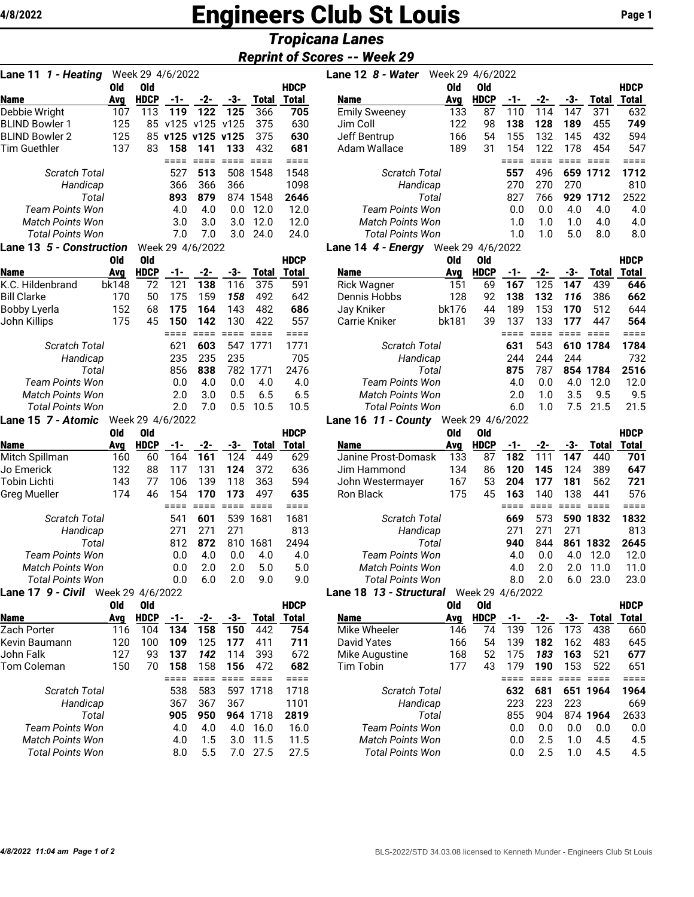# **Engineers Club St Louis Page 1** Page 1

# *Tropicana Lanes*

## *Reprint of Scores -- Week 29*

| Lane 11 1 - Heating                                |            | Week 29 4/6/2022 |            |                   |                 |                 |                    | Lane 12 8 - Water                                  | Week 29 4/6/2022 |                  |                 |                 |             |                  |              |
|----------------------------------------------------|------------|------------------|------------|-------------------|-----------------|-----------------|--------------------|----------------------------------------------------|------------------|------------------|-----------------|-----------------|-------------|------------------|--------------|
|                                                    | <b>Old</b> | <b>Old</b>       |            |                   |                 |                 | <b>HDCP</b>        |                                                    | <b>Old</b>       | <b>Old</b>       |                 |                 |             |                  | <b>HDCP</b>  |
| Name                                               | Avg        | <b>HDCP</b>      | -1-        | -2-               | -3-             | Total           | <b>Total</b>       | Name                                               | Avg              | <b>HDCP</b>      | -1-             | -2-             | -3-         | Total            | Total        |
| Debbie Wright                                      | 107        | 113              | 119        | 122               | 125             | 366             | 705                | <b>Emily Sweeney</b>                               | 133              | 87               | 110             | 114             | 147         | 371              | 63           |
| <b>BLIND Bowler 1</b>                              | 125        |                  |            | 85 v125 v125 v125 |                 | 375             | 630                | Jim Coll                                           | 122              | 98               | 138             | 128             | 189         | 455              | 74           |
| <b>BLIND Bowler 2</b>                              | 125        |                  |            | 85 v125 v125 v125 |                 | 375             | 630                | Jeff Bentrup                                       | 166              | 54               | 155             | 132             | 145         | 432              | 59           |
| <b>Tim Guethler</b>                                | 137        | 83               | 158        | 141               | 133             | 432             | 681                | Adam Wallace                                       | 189              | 31               | 154             | 122             | 178         | 454              | 54           |
|                                                    |            |                  | $====$     | $= 222$           |                 |                 | ====               |                                                    |                  |                  | $====$          | $=$ $=$ $=$ $=$ |             | <b>ESSE SESS</b> | $==$         |
| <b>Scratch Total</b>                               |            |                  | 527        | 513               |                 | 508 1548        | 1548               | Scratch Total                                      |                  |                  | 557             | 496             |             | 659 1712         | 1712         |
| Handicap                                           |            |                  | 366        | 366               | 366             |                 | 1098               | Handicap                                           |                  |                  | 270             | 270             | 270         |                  | 81(          |
| Total                                              |            |                  | 893        | 879               |                 | 874 1548        | 2646               | Total                                              |                  |                  | 827             | 766             |             | 929 1712         | 252          |
| <b>Team Points Won</b>                             |            |                  | 4.0        | 4.0               | 0.0             | 12.0            | 12.0               | <b>Team Points Won</b>                             |                  |                  | 0.0             | 0.0             | 4.0         | 4.0              | 4.1          |
| <b>Match Points Won</b><br><b>Total Points Won</b> |            |                  | 3.0<br>7.0 | 3.0<br>7.0        | 3.0<br>3.0      | 12.0<br>24.0    | 12.0<br>24.0       | <b>Match Points Won</b><br><b>Total Points Won</b> |                  |                  | 1.0<br>1.0      | 1.0<br>1.0      | 1.0<br>5.0  | 4.0<br>8.0       | 4.1<br>8.1   |
| Lane 13 5 - Construction                           |            |                  |            | Week 29 4/6/2022  |                 |                 |                    | <b>Lane 14 4 - Energy</b> Week 29 4/6/2022         |                  |                  |                 |                 |             |                  |              |
|                                                    | 0ld        | Old              |            |                   |                 |                 | <b>HDCP</b>        |                                                    | 0ld              | <b>Old</b>       |                 |                 |             |                  | <b>HDCF</b>  |
| Name                                               | Avg        | <b>HDCP</b>      | -1-        | -2-               | -3-             | <b>Total</b>    | <b>Total</b>       | <b>Name</b>                                        | Avg              | <b>HDCP</b>      | -1-             | -2-             | -3-         | <b>Total</b>     | <b>Total</b> |
| K.C. Hildenbrand                                   | bk148      | 72               | 121        | 138               | 116             | 375             | 591                | <b>Rick Wagner</b>                                 | 151              | 69               | 167             | 125             | 147         | 439              | 64           |
| <b>Bill Clarke</b>                                 | 170        | 50               | 175        | 159               | 158             | 492             | 642                | Dennis Hobbs                                       | 128              | 92               | 138             | 132             | 116         | 386              | 66           |
| Bobby Lyerla                                       | 152        | 68               | 175        | 164               | 143             | 482             | 686                | Jay Kniker                                         | bk176            | 44               | 189             | 153             | 170         | 512              | 64           |
| John Killips                                       | 175        | 45               | 150        | 142               | 130             | 422             | 557                | <b>Carrie Kniker</b>                               | bk181            | 39               | 137             | 133             | 177         | 447              | 56           |
|                                                    |            |                  | $====$     | $====$            | $=$ $=$ $=$ $=$ | $=$ $=$ $=$ $=$ | ====               |                                                    |                  |                  | $====$          | $=$ $=$ $=$ $=$ | $====$      | $====$           | ===:         |
| <b>Scratch Total</b>                               |            |                  | 621        | 603               |                 | 547 1771        | 1771               | <b>Scratch Total</b>                               |                  |                  | 631             | 543             |             | 610 1784         | 178          |
| Handicap                                           |            |                  | 235        | 235               | 235             |                 | 705                | Handicap                                           |                  |                  | 244             | 244             | 244         |                  | 73           |
| Total                                              |            |                  | 856        | 838               |                 | 782 1771        | 2476               | Total                                              |                  |                  | 875             | 787             |             | 854 1784         | 251(         |
| <b>Team Points Won</b>                             |            |                  | 0.0        | 4.0               | 0.0             | 4.0             | 4.0                | <b>Team Points Won</b>                             |                  |                  | 4.0             | 0.0             | 4.0         | 12.0             | 12.1         |
| <b>Match Points Won</b>                            |            |                  | 2.0        | 3.0               | 0.5             | 6.5             | 6.5                | <b>Match Points Won</b>                            |                  |                  | 2.0             | 1.0             | 3.5         | 9.5              | 9.5          |
| <b>Total Points Won</b>                            |            |                  | 2.0        | 7.0               | 0.5             | 10.5            | 10.5               | <b>Total Points Won</b>                            |                  |                  | 6.0             | 1.0             | 7.5         | 21.5             | 21.          |
| Lane 15 7 - Atomic                                 |            | Week 29 4/6/2022 |            |                   |                 |                 |                    | Lane 16 11 - County                                |                  | Week 29 4/6/2022 |                 |                 |             |                  |              |
|                                                    | <b>Old</b> | <b>Old</b>       |            |                   |                 |                 | <b>HDCP</b>        |                                                    | <b>Old</b>       | <b>Old</b>       |                 |                 |             |                  | <b>HDCF</b>  |
| Name                                               | Avg        | <b>HDCP</b>      | $-1-$      | -2-               | -3-             | Total           | <b>Total</b>       | Name                                               | Avg              | <b>HDCP</b>      | -1-             | $-2-$           | -3-         | <b>Total</b>     | <b>Total</b> |
| Mitch Spillman                                     | 160        | 60               | 164        | 161               | 124             | 449             | 629                | Janine Prost-Domask                                | 133              | 87               | 182             | 111             | 147         | 440              | 70           |
| Jo Emerick                                         | 132        | 88               | 117        | 131               | 124             | 372             | 636                | Jim Hammond                                        | 134              | 86               | 120             | 145             | 124         | 389              | 64           |
| Tobin Lichti                                       | 143        | 77               | 106        | 139               | 118             | 363             | 594                | John Westermayer                                   | 167              | 53               | 204             | 177             | 181         | 562              | $72^{\circ}$ |
| <b>Greg Mueller</b>                                | 174        | 46               | 154        | 170               | 173             | 497             | 635                | Ron Black                                          | 175              | 45               | 163             | 140             | 138         | 441              | 57           |
|                                                    |            |                  | ====       | $====$            | $=$ $=$ $=$ $=$ | $=$ $=$ $=$ $=$ | ====               |                                                    |                  |                  | $=$ $=$ $=$ $=$ | $=$ $=$ $=$ $=$ | $====$      | $=$ $=$ $=$ $=$  | $==$         |
| Scratch Total                                      |            |                  | 541        | 601               |                 | 539 1681        | 1681               | <b>Scratch Total</b>                               |                  |                  | 669             | 573             |             | 590 1832         | 183          |
| Handicap                                           |            |                  | 271        | 271               | 271             |                 | 813                | Handicap                                           |                  |                  | 271             | 271             | 271         |                  | 81           |
| Total                                              |            |                  | 812        | 872               | 810             | 1681            | 2494               | Total                                              |                  |                  | 940             | 844             |             | 861 1832<br>12.0 | 264          |
| Team Points Won<br><b>Match Points Won</b>         |            |                  | 0.0<br>0.0 | 4.0<br>2.0        | 0.0<br>2.0      | 4.0<br>5.0      | 4.0<br>5.0         | Team Points Won<br><b>Match Points Won</b>         |                  |                  | 4.0<br>4.0      | 0.0<br>2.0      | 4.0<br>2.0  | 11.0             | 12.1<br>11.1 |
| Total Points Won                                   |            |                  | 0.0        | 6.0               | 2.0             | 9.0             | 9.0                | Total Points Won                                   |                  |                  | 8.0             | 2.0             |             | $6.0$ 23.0       | 23.1         |
| Lane 17 9 - Civil Week 29 4/6/2022                 |            |                  |            |                   |                 |                 |                    | Lane 18 13 - Structural Week 29 4/6/2022           |                  |                  |                 |                 |             |                  |              |
|                                                    | Old        | <b>Old</b>       |            |                   |                 |                 | <b>HDCP</b>        |                                                    | 0ld              | <b>Old</b>       |                 |                 |             |                  | <b>HDCF</b>  |
| <b>Name</b>                                        | Avg        | <b>HDCP</b>      | $-1-$      | -2-               | -3-             |                 | <b>Total Total</b> | <b>Name</b>                                        | Avg              | <b>HDCP</b>      | $-1-$           | -2-             | -3-         | <b>Total</b>     | <b>Total</b> |
| Zach Porter                                        | 116        | 104              | 134        | 158               | 150             | 442             | 754                | Mike Wheeler                                       | 146              | 74               | 139             | 126             | 173         | 438              | 66           |
| Kevin Baumann                                      | 120        | 100              | 109        | 125               | 177             | 411             | 711                | <b>David Yates</b>                                 | 166              | 54               | 139             | 182             | 162         | 483              | 64           |
| John Falk                                          | 127        | 93               | 137        | 142               | 114             | 393             | 672                | Mike Augustine                                     | 168              | 52               | 175             | 183             | 163         | 521              | 67           |
| Tom Coleman                                        | 150        | 70               | 158        | 158               | 156             | 472             | 682                | <b>Tim Tobin</b>                                   | 177              | 43               | 179             | 190             | 153         | 522              | 65           |
|                                                    |            |                  | ====       | $=$ $=$ $=$ $=$   |                 |                 | $====$             |                                                    |                  |                  | $====$          | $=$ $=$ $=$ $=$ | $=$ $=$ $=$ | $= 1.1$          | $==$         |
| <b>Scratch Total</b>                               |            |                  | 538        | 583               |                 | 597 1718        | 1718               | <b>Scratch Total</b>                               |                  |                  | 632             | 681             |             | 651 1964         | 196          |
| Handicap                                           |            |                  | 367        | 367               | 367             |                 | 1101               | Handicap                                           |                  |                  | 223             | 223             | 223         |                  | 66           |
| Total                                              |            |                  | 905        | 950               |                 | 964 1718        | 2819               | Total                                              |                  |                  | 855             | 904             |             | 874 1964         | 263          |
| <b>Team Points Won</b>                             |            |                  | 4.0        | 4.0               | 4.0             | 16.0            | 16.0               | <b>Team Points Won</b>                             |                  |                  | 0.0             | 0.0             | 0.0         | 0.0              | 0.1          |
| <b>Match Points Won</b>                            |            |                  | 4.0        | 1.5               | 3.0             | 11.5            | 11.5               | <b>Match Points Won</b>                            |                  |                  | 0.0             | 2.5             | 1.0         | 4.5              | 4.           |
| <b>Total Points Won</b>                            |            |                  | 8.0        | 5.5               |                 | 7.0 27.5        | 27.5               | <b>Total Points Won</b>                            |                  |                  | 0.0             | 2.5             | 1.0         | 4.5              | 4.           |

| Lane 11 1 - Heating                                        |     | Week 29 4/6/2022 |     |                   |     |                    |                  | Lane 12 8 - Water       | Week 29 4/6/2022 |             |     |             |      |       |              |
|------------------------------------------------------------|-----|------------------|-----|-------------------|-----|--------------------|------------------|-------------------------|------------------|-------------|-----|-------------|------|-------|--------------|
|                                                            | 0ld | 0ld              |     |                   |     |                    | <b>HDCP</b>      |                         | 0ld              | 0ld         |     |             |      |       | <b>HDCP</b>  |
| <b>Name</b>                                                | Ava | <b>HDCP</b>      | -1- | $-2-$             | -3- | <b>Total</b>       | <b>Total</b>     | <b>Name</b>             | Avg              | <b>HDCP</b> | -1- | -2-         | -3-  | Total | <b>Total</b> |
| Debbie Wright                                              | 107 | 113              | 119 | 122               | 125 | 366                | 705              | <b>Emily Sweeney</b>    | 133              | 87          | 110 | 114         | 147  | 371   | 632          |
| <b>BLIND Bowler 1</b>                                      | 125 | 85.              |     | v125 v125 v125    |     | 375                | 630              | Jim Coll                | 122              | 98          | 138 | 128         | 189  | 455   | 749          |
| <b>BLIND Bowler 2</b>                                      | 125 |                  |     | 85 v125 v125 v125 |     | 375                | 630              | Jeff Bentrup            | 166              | 54          | 155 | 132         | 145  | 432   | 594          |
| Tim Guethler                                               | 137 | 83               | 158 | 141               | 133 | 432                | 681              | Adam Wallace            | 189              | 31          | 154 | 122         | 178  | 454   | 547          |
|                                                            |     |                  |     |                   |     |                    |                  |                         |                  |             |     |             |      |       |              |
| <b>Scratch Total</b>                                       |     |                  | 527 | 513               | 508 | 1548               | 1548             | <b>Scratch Total</b>    |                  | 557         | 496 | 659         | 1712 | 1712  |              |
| Handicap                                                   |     |                  | 366 | 366               | 366 |                    | 1098             | Handicap                |                  |             | 270 | 270         | 270  |       | 810          |
| Total                                                      |     |                  | 893 | 879               |     | 874 1548           | 2646             | Total                   |                  |             | 827 | 766         | 929  | 1712  | 2522         |
| <b>Team Points Won</b>                                     |     |                  | 4.0 | 4.0               | 0.0 | 12.0               | 12.0             | <b>Team Points Won</b>  |                  |             | 0.0 | 0.0         | 4.0  | 4.0   | 4.0          |
| <b>Match Points Won</b>                                    |     |                  | 3.0 | 3.0               | 3.0 | 12.0               | 12.0             | <b>Match Points Won</b> |                  |             | 1.0 | 1. $\Omega$ | 1.0  | 4.0   | 4.0          |
| <b>Total Points Won</b>                                    |     |                  | 7.0 | 7.0               | 3.0 | 24.0               | 24.0             | <b>Total Points Won</b> |                  |             | 1.0 | 1.0         | 5.0  | 8.0   | 8.0          |
| <b>Lane 13 <i>5 - Construction</i></b><br>Week 29 4/6/2022 |     |                  |     |                   |     | Lane 14 4 - Energy | Week 29 4/6/2022 |                         |                  |             |     |             |      |       |              |

### **Old Old HDCP Old Old HDCP** Rick Wagner 151 69 **167** 125 **147** 439 **646** Dennis Hobbs 128 92 **138 132** *116* 386 **662** Jay Kniker bk176 44 189 153 **170** 512 644 Carrie Kniker bk181 39 137 133 **177** 447 **564** ==== ==== ==== ==== ==== *Scratch Total* **631** 543 **610 1784 1784**

| Handicap                |     | 244 244 244 |                       | 732   |
|-------------------------|-----|-------------|-----------------------|-------|
| Total                   |     |             | 875 787 854 1784 2516 |       |
| <b>Team Points Won</b>  | 4 N |             | $0.0$ 4.0 12.0 12.0   |       |
| <b>Match Points Won</b> | 2 O |             | $1.0 \t3.5 \t9.5$     | - 9.5 |
| Total Points Won        | 6 N |             | 1.0 7.5 21.5 21.5     |       |
|                         |     |             |                       |       |

#### **Lane 16** *11 - County* Week 29 4/6/2022

|                         | 0ld | 0ld              |     |     |     |       | <b>HDCP</b> |                            | Old | 0ld              |     |     |     |       | <b>HDCP</b> |
|-------------------------|-----|------------------|-----|-----|-----|-------|-------------|----------------------------|-----|------------------|-----|-----|-----|-------|-------------|
| <b>Name</b>             | Ava | <b>HDCP</b>      | -1- | -2- | -3- | Total | Total       | <b>Name</b>                | Avg | <b>HDCP</b>      | -1- | -2- | -3- | Total | Total       |
| Mitch Spillman          | 160 | 60               | 164 | 161 | 124 | 449   | 629         | Janine Prost-Domask        | 133 | 87               | 182 | 111 | 147 | 440   | 701         |
| Jo Emerick              | 132 | 88               | 117 | 131 | 124 | 372   | 636         | Jim Hammond                | 134 | 86               | 120 | 145 | 124 | 389   | 647         |
| Tobin Lichti            | 143 | 77               | 106 | 139 | 118 | 363   | 594         | John Westermayer           | 167 | 53               | 204 | 177 | 181 | 562   | 721         |
| Greg Mueller            | 174 | 46               | 154 | 170 | 173 | 497   | 635         | Ron Black                  | 175 | 45               | 163 | 140 | 138 | 441   | 576         |
|                         |     |                  |     |     |     |       |             |                            |     |                  |     |     |     |       |             |
| <b>Scratch Total</b>    |     |                  | 541 | 601 | 539 | 1681  | 1681        | <b>Scratch Total</b>       |     |                  | 669 | 573 | 590 | 1832  | 1832        |
| Handicap                |     |                  | 271 | 271 | 271 |       | 813         | Handicap                   |     |                  | 271 | 271 | 271 |       | 813         |
| Total                   |     |                  | 812 | 872 | 810 | 1681  | 2494        | Total                      |     |                  | 940 | 844 | 861 | 1832  | 2645        |
| <b>Team Points Won</b>  |     |                  | 0.0 | 4.0 | 0.0 | 4.0   | 4.0         | <b>Team Points Won</b>     |     |                  | 4.0 | 0.0 | 4.0 | 12.0  | 12.0        |
| <b>Match Points Won</b> |     |                  | 0.0 | 2.0 | 2.0 | 5.0   | 5.0         | <b>Match Points Won</b>    |     |                  | 4.0 | 2.0 | 2.0 | 11.0  | 11.0        |
| <b>Total Points Won</b> |     |                  | 0.0 | 6.0 | 2.0 | 9.0   | 9.0         | Total Points Won           |     |                  | 8.0 | 2.0 | 6.0 | 23.0  | 23.0        |
| Lane 17  9 - Civil      |     | Week 29 4/6/2022 |     |     |     |       |             | 13 - Structural<br>Lane 18 |     | Week 29 4/6/2022 |     |     |     |       |             |

#### **Old Old HDCP Old Old HDCP Name Avg HDCP -1- -2- -3- Total Total Name Avg HDCP -1- -2- -3- Total Total** Mike Wheeler 146 74 139 126 173 438 660 David Yates 166 54 139 **182** 162 483 645 Mike Augustine 168 52 175 *183* **163** 521 **677** Tim Tobin 177 43 179 **190** 153 522 651 ==== ==== ==== ==== ==== *Scratch Total* **632 681 651 1964 1964** *Handicap* 223 223 223 669 *Total* 855 904 874 **1964** 2633 *Team Points Won* 0.0 0.0 0.0 0.0 0.0 *Match Points Won* 0.0 2.5 1.0 4.5 4.5 *Total Points Won* 0.0 2.5 1.0 4.5 4.5